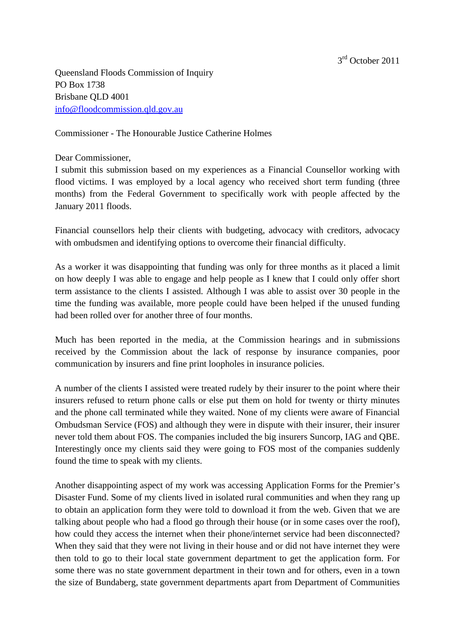Queensland Floods Commission of Inquiry PO Box 1738 Brisbane QLD 4001 [info@floodcommission.qld.gov.au](mailto:info@floodcommission.qld.gov.au)

Commissioner - The Honourable Justice Catherine Holmes

## Dear Commissioner,

I submit this submission based on my experiences as a Financial Counsellor working with flood victims. I was employed by a local agency who received short term funding (three months) from the Federal Government to specifically work with people affected by the January 2011 floods.

Financial counsellors help their clients with budgeting, advocacy with creditors, advocacy with ombudsmen and identifying options to overcome their financial difficulty.

As a worker it was disappointing that funding was only for three months as it placed a limit on how deeply I was able to engage and help people as I knew that I could only offer short term assistance to the clients I assisted. Although I was able to assist over 30 people in the time the funding was available, more people could have been helped if the unused funding had been rolled over for another three of four months.

Much has been reported in the media, at the Commission hearings and in submissions received by the Commission about the lack of response by insurance companies, poor communication by insurers and fine print loopholes in insurance policies.

A number of the clients I assisted were treated rudely by their insurer to the point where their insurers refused to return phone calls or else put them on hold for twenty or thirty minutes and the phone call terminated while they waited. None of my clients were aware of Financial Ombudsman Service (FOS) and although they were in dispute with their insurer, their insurer never told them about FOS. The companies included the big insurers Suncorp, IAG and QBE. Interestingly once my clients said they were going to FOS most of the companies suddenly found the time to speak with my clients.

Another disappointing aspect of my work was accessing Application Forms for the Premier's Disaster Fund. Some of my clients lived in isolated rural communities and when they rang up to obtain an application form they were told to download it from the web. Given that we are talking about people who had a flood go through their house (or in some cases over the roof), how could they access the internet when their phone/internet service had been disconnected? When they said that they were not living in their house and or did not have internet they were then told to go to their local state government department to get the application form. For some there was no state government department in their town and for others, even in a town the size of Bundaberg, state government departments apart from Department of Communities